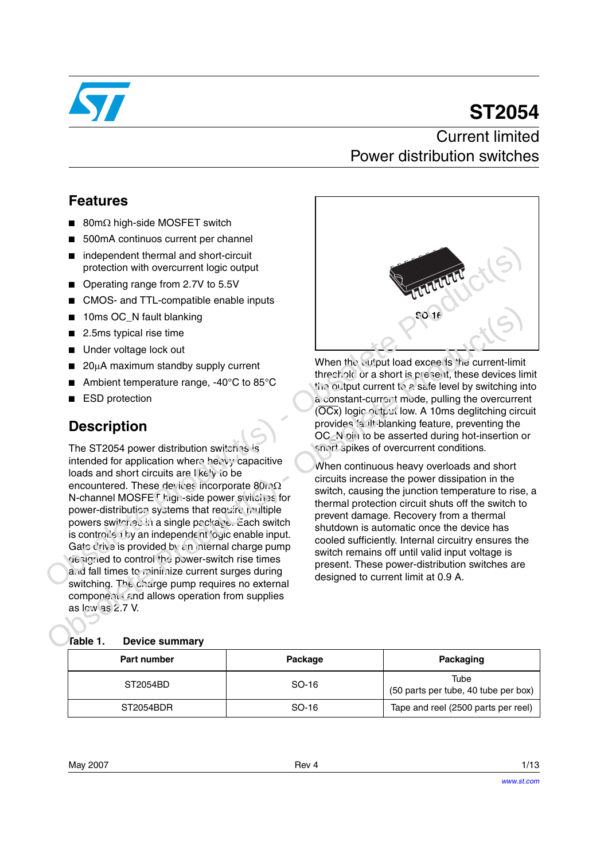

# **ST2054**

### Current limited Power distribution switches

#### **Features**

- $80m\Omega$  high-side MOSFET switch
- 500mA continuos current per channel
- independent thermal and short-circuit protection with overcurrent logic output
- Operating range from 2.7V to 5.5V
- CMOS- and TTL-compatible enable inputs
- 10ms OC\_N fault blanking
- 2.5ms typical rise time
- Under voltage lock out
- 20µA maximum standby supply current
- Ambient temperature range, -40°C to 85°C
- **ESD** protection

#### **Description**

The ST2054 power distribution switches is intended for application where heavy capacitive loads and short circuits are likely to be encountered. These devices incorporate 80mΩ N-channel MOSFE Thigh-side power switches for power-distribution systems that require multiple powers switches in a single package. Each switch is controlled by an independent logic enable input. Gate drive is provided by an internal charge pump designed to control the power-switch rise times and fall times to minimize current surges during switching. The charge pump requires no external components and allows operation from supplies as low as 2.7 V. Obsolet and the state of the state of the state of the state of the state of the state of the state of the state of the state of the state of the state of the state of the state of the state of the state of the state of **Example the controlling of the controlling of the computer of the computer of the computation of the computation of the computation of the computation of the computation of the computation of the computation of the compu** 

#### fable 1. **Device summary**



When the cutiput load exceeds the current-limit threshold or a short is present, these devices limit the output current to a safe level by switching into a constant-current mode, pulling the overcurrent  $(OCx)$  logic output low. A 10ms deglitching circuit provides fault-blanking feature, preventing the OC<sup>N</sup> pin to be asserted during hot-insertion or short spikes of overcurrent conditions.

When continuous heavy overloads and short circuits increase the power dissipation in the switch, causing the junction temperature to rise, a thermal protection circuit shuts off the switch to prevent damage. Recovery from a thermal shutdown is automatic once the device has cooled sufficiently. Internal circuitry ensures the switch remains off until valid input voltage is present. These power-distribution switches are designed to current limit at 0.9 A.

| Part number | Package | Packaging                                    |
|-------------|---------|----------------------------------------------|
| ST2054BD    | SO-16   | Tube<br>(50 parts per tube, 40 tube per box) |
| ST2054BDR   | SO-16   | Tape and reel (2500 parts per reel)          |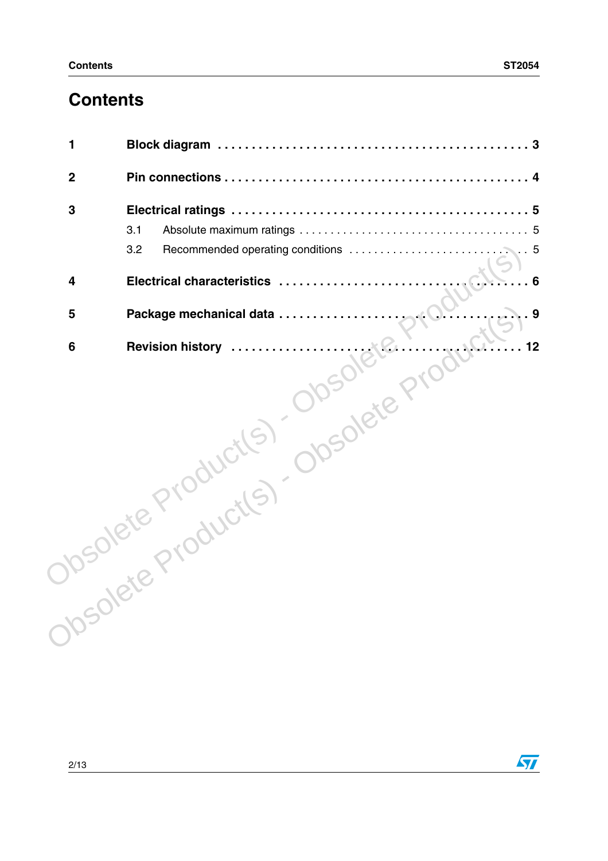## **Contents**

| 3.1                                     |
|-----------------------------------------|
| 3.2<br>. 5                              |
| Electrical characteristics              |
|                                         |
| 12                                      |
| Josolete Product(s) Obsolete Production |
|                                         |

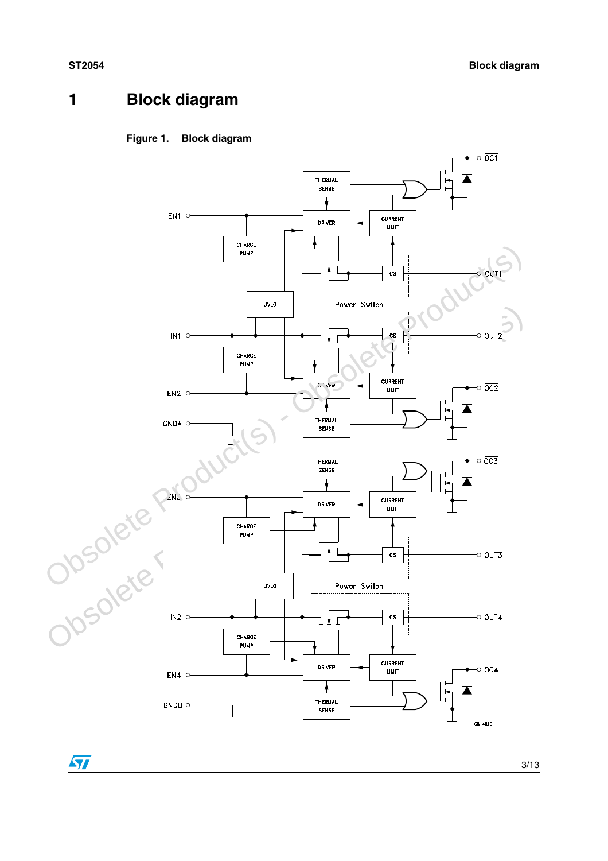### <span id="page-2-0"></span>**1 Block diagram**





 $\sqrt{2}$ 

3/13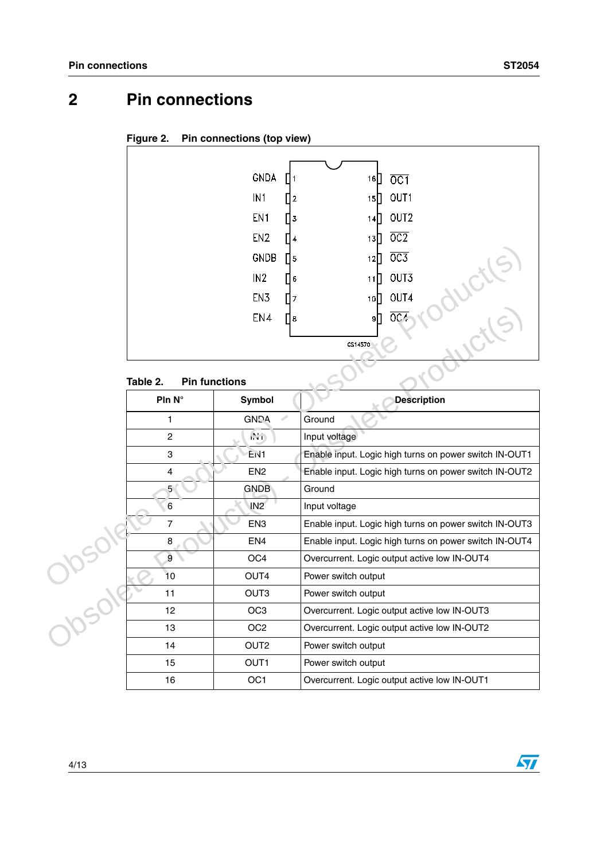### <span id="page-3-0"></span>**2 Pin connections**



#### **Figure 2. Pin connections (top view)**

#### **Table 2. Pin functions**

|                | GNDB<br>l5           | $\overline{OC3}$<br>12                                 |
|----------------|----------------------|--------------------------------------------------------|
|                | IN2<br>6             | OUT3<br>11                                             |
|                | EN3                  | OUT4<br>10 <sup>7</sup>                                |
|                | EN4<br>8             | $M_{C}$<br>OC <sub>1</sub><br>9                        |
|                |                      | CS14570                                                |
| Table 2.       | <b>Pin functions</b> |                                                        |
| PIn N°         | Symbol               | <b>Description</b>                                     |
| 1              | <b>GNDA</b>          | Ground                                                 |
| $\overline{c}$ | M <sub>1</sub>       | Input voltage                                          |
| 3              | EN <sub>1</sub>      | Enable input. Logic high turns on power switch IN-OUT1 |
| 4              | EN <sub>2</sub>      | Enable input. Logic high turns on power switch IN-OUT2 |
| 5 <sub>1</sub> | <b>GNDB</b>          | Ground                                                 |
| $\,6$          | IN <sub>2</sub>      | Input voltage                                          |
| $\overline{7}$ | EN <sub>3</sub>      | Enable input. Logic high turns on power switch IN-OUT3 |
| 8              | EN4                  | Enable input. Logic high turns on power switch IN-OUT4 |
| $\mathbf{9}$   | OC <sub>4</sub>      | Overcurrent. Logic output active low IN-OUT4           |
| 10             | OUT4                 | Power switch output                                    |
| 11             | OUT <sub>3</sub>     | Power switch output                                    |
| 12             | OC <sub>3</sub>      | Overcurrent. Logic output active low IN-OUT3           |
| 13             | OC <sub>2</sub>      | Overcurrent. Logic output active low IN-OUT2           |
| 14             | OUT <sub>2</sub>     | Power switch output                                    |
| 15             | OUT1                 | Power switch output                                    |
| 16             | OC <sub>1</sub>      | Overcurrent. Logic output active low IN-OUT1           |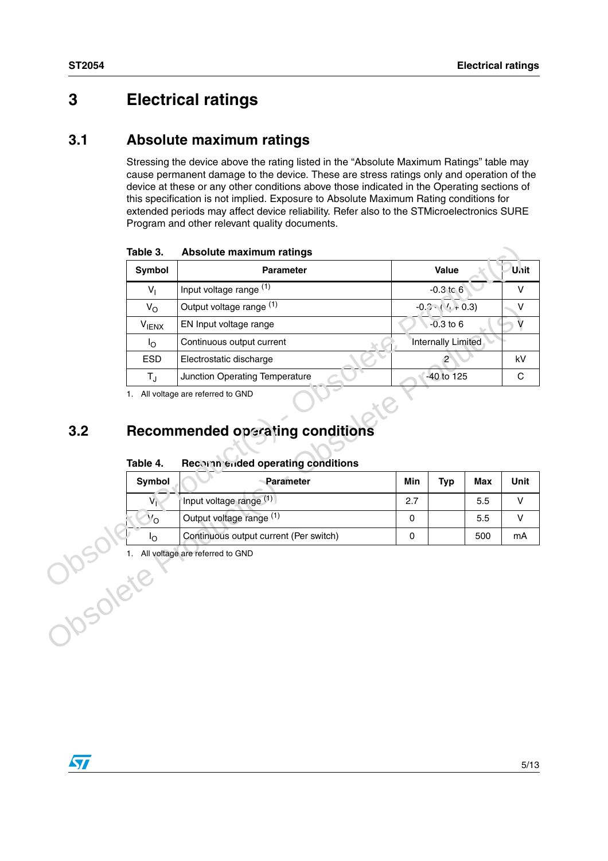### <span id="page-4-0"></span>**3 Electrical ratings**

#### <span id="page-4-1"></span>**3.1 Absolute maximum ratings**

Stressing the device above the rating listed in the "Absolute Maximum Ratings" table may cause permanent damage to the device. These are stress ratings only and operation of the device at these or any other conditions above those indicated in the Operating sections of this specification is not implied. Exposure to Absolute Maximum Rating conditions for extended periods may affect device reliability. Refer also to the STMicroelectronics SURE Program and other relevant quality documents.

**Table 3. Absolute maximum ratings**

| Table 3.               | <b>Absolute maximum ratings</b>                                                                                    |     |                    |     |        |
|------------------------|--------------------------------------------------------------------------------------------------------------------|-----|--------------------|-----|--------|
| Symbol                 | <b>Parameter</b>                                                                                                   |     | Value              |     | Unit   |
| $V_{\parallel}$        | Input voltage range (1)                                                                                            |     | $-0.3$ to $6$      |     | V      |
| $V_{\rm O}$            | Output voltage range (1)                                                                                           |     | $-0.2 - (4 + 0.3)$ |     | V      |
| <b>VIENX</b>           | EN Input voltage range                                                                                             |     | $-0.3$ to $6$      |     | V      |
| $I_{\rm O}$            | Continuous output current                                                                                          |     | Internally Limited |     |        |
| <b>ESD</b>             | Electrostatic discharge                                                                                            |     | $\overline{2}$     |     | kV     |
| $T_{\rm J}$            | Junction Operating Temperature                                                                                     |     | -40 to 125         |     | C      |
|                        | 1. All voltage are referred to GND<br>Recommended operating conditions<br><b>Recorn ended operating conditions</b> |     |                    |     |        |
| Table 4.<br>Symbol     | Parameter                                                                                                          | Min | <b>Typ</b>         | Max | Unit   |
| $V_{\parallel}$        | Input voltage range (1)                                                                                            | 2.7 |                    | 5.5 | $\vee$ |
| 'о                     | Output voltage range (1)                                                                                           | 0   |                    | 5.5 | V      |
| Io<br>Justice Joseph's | Continuous output current (Per switch)<br>All voltage are referred to GND                                          | 0   |                    | 500 | mA     |

#### <span id="page-4-2"></span>**3.2 Recommended operating conditions**

| Table 4. | Recommended operating conditions |  |  |
|----------|----------------------------------|--|--|
|----------|----------------------------------|--|--|

| <b>Symbol</b> | <b>Parameter</b>                       | Min | Typ | <b>Max</b> | Unit |
|---------------|----------------------------------------|-----|-----|------------|------|
|               | Input voltage range (1)                | 2.7 |     | 5.5        |      |
| Ο.            | Output voltage range (1)               |     |     | 5.5        |      |
| סי            | Continuous output current (Per switch) |     |     | 500        | mΑ   |

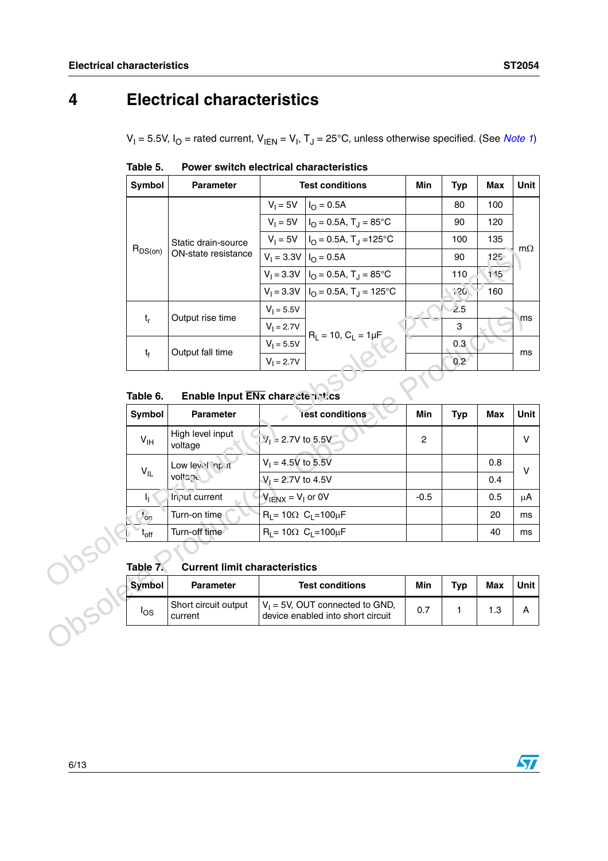### <span id="page-5-0"></span>**4 Electrical characteristics**

V<sub>I</sub> = 5.5V, I<sub>O</sub> = rated current, V<sub>IEN</sub> = V<sub>I</sub>, T<sub>J</sub> = 25°C, unless otherwise specified. (See *[Note 1](#page-6-0)*)

| Symbol                 | <b>Parameter</b>    | <b>Test conditions</b>    |                                                           | Min | <b>Typ</b>       | Max     | Unit      |
|------------------------|---------------------|---------------------------|-----------------------------------------------------------|-----|------------------|---------|-----------|
|                        |                     | $V_1 = 5V$                | $I_{\Omega} = 0.5A$                                       |     | 80               | 100     |           |
|                        |                     | $V_1 = 5V$                | $I_{\Omega} = 0.5$ A, T <sub>.I</sub> = 85 <sup>°</sup> C |     | 90               | 120     |           |
|                        | Static drain-source | $V_1 = 5V$                | $IO = 0.5A, TJ = 125°C$                                   |     | 100              | 135     |           |
| $R_{DS(on)}$           | ON-state resistance | $V_1 = 3.3V$ $I_O = 0.5A$ |                                                           |     | 90               | $125 -$ | $m\Omega$ |
|                        |                     |                           | $V_1 = 3.3V$ $I_O = 0.5A$ , $T_1 = 85^{\circ}C$           |     | 110              | 1.15    |           |
|                        |                     |                           | $V_1 = 3.3V$ $ I_0 = 0.5A$ , $T_1 = 125^{\circ}C$         |     | 120              | 160     |           |
|                        |                     | $V_1 = 5.5V$              |                                                           |     | 2.5              |         |           |
| Output rise time<br>t, |                     | $V_1 = 2.7V$              |                                                           |     | 3                |         | ms        |
| $t_f$                  |                     | $V_1 = 5.5V$              | $R_L = 10, C_L = 1 \mu F$                                 |     | 0.3              |         |           |
|                        | Output fall time    | $V_1 = 2.7V$              |                                                           |     | 0.2 <sub>2</sub> |         | ms        |

**Table 5. Power switch electrical characteristics** 

**Table 6.** Enable Input ENx characteristics

|                           | υιαιιν νιαιιι-συνινσ                    |                        |                                                      |              |            |            | $m\Omega$ |
|---------------------------|-----------------------------------------|------------------------|------------------------------------------------------|--------------|------------|------------|-----------|
| $R_{DS(on)}$              | ON-state resistance                     |                        | $V_1 = 3.3V$ $I_O = 0.5A$                            |              | 90         | 125        |           |
|                           |                                         |                        | $V_1 = 3.3V$ $I_O = 0.5A$ , $T_J = 85^{\circ}C$      |              | 110        | 1.15       |           |
|                           |                                         |                        | $V_1 = 3.3V$   $I_O = 0.5A$ , T <sub>J</sub> = 125°C |              | 120        | 160        |           |
|                           |                                         | $V_1 = 5.5V$           |                                                      |              | 2.5        |            |           |
| $t_r$                     | Output rise time                        | $V_1 = 2.7V$           |                                                      |              | 3          |            | ms        |
|                           | Output fall time                        | $V_1 = 5.5V$           | $R_L = 10, C_L = 1 \mu F$                            |              | 0.3        |            |           |
| $t_{\rm f}$               |                                         | $V_1 = 2.7V$           |                                                      |              | 0.2        |            | ms        |
|                           |                                         |                        |                                                      |              |            |            |           |
| Table 6.                  | <b>Enable Input ENx characteristics</b> |                        |                                                      |              |            |            |           |
| Symbol                    | Parameter                               |                        | lest conditions                                      | Min          | <b>Typ</b> | <b>Max</b> | Unit      |
| V <sub>IH</sub>           | High level input<br>voltage             | $11 = 2.7V$ to 5.5V    |                                                      | $\mathbf{2}$ |            |            | $\vee$    |
|                           | Low level input                         | $V_1 = 4.5V$ to 5.5V   |                                                      |              |            | 0.8        | V         |
| $V_{IL}$                  | voltage                                 | $V_1 = 2.7V$ to 4.5V   |                                                      |              |            | 0.4        |           |
| Ч.                        | In <sub>p</sub> ut current              | $V_{IENX} = V_I$ or 0V |                                                      | $-0.5$       |            | 0.5        | μA        |
| $\mathbf{t}_{\text{O}11}$ | Turn-on time                            |                        | $R_1 = 10\Omega$ C <sub>1</sub> =100 $\mu$ F         |              |            | 20         | ms        |
|                           |                                         |                        | $R_1 = 10\Omega C_1 = 100\mu F$                      |              |            | 40         | ms        |
| $t_{off}$                 | Turn-off time                           |                        |                                                      |              |            |            |           |
|                           |                                         |                        |                                                      |              |            |            |           |
| Table 7.                  | <b>Current limit characteristics</b>    |                        |                                                      |              |            |            |           |
| <b>Symbol</b>             | <b>Parameter</b>                        |                        | <b>Test conditions</b>                               | Min          | <b>Typ</b> | Max        | Unit      |

#### **Table 7. Current limit characteristics**

| <b>Symbol</b>   | <b>Parameter</b>                  | <b>Test conditions</b>                                                  | Min | Tvp | Max | Unit l |
|-----------------|-----------------------------------|-------------------------------------------------------------------------|-----|-----|-----|--------|
| <sup>I</sup> OS | l Short circuit output<br>current | $V_1 = 5V$ , OUT connected to GND,<br>device enabled into short circuit | 0.7 |     | 1.3 |        |

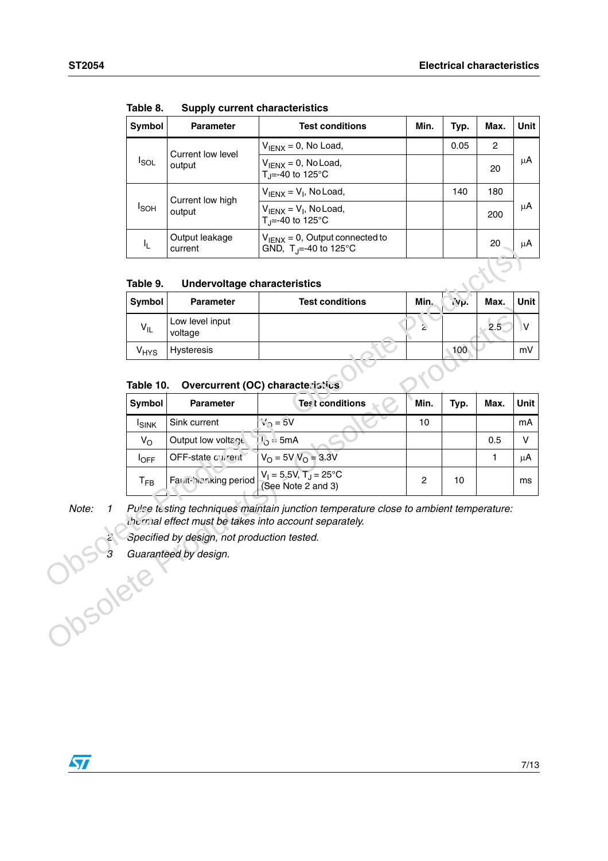| <b>Symbol</b>    | <b>Parameter</b>            | <b>Test conditions</b>                                                  | Min. | Typ. | Max. | Unit I |
|------------------|-----------------------------|-------------------------------------------------------------------------|------|------|------|--------|
| $I_{\text{SOL}}$ |                             | $V_{IFNX} = 0$ , No Load,                                               |      | 0.05 | 2    |        |
|                  | Current low level<br>output | $V_{IENX} = 0$ , No Load,<br>T <sub>J</sub> =-40 to 125°C               |      |      | 20   | μA     |
| <b>I</b> SOH     | Current low high<br>output  | $V_{IFNX} = V_l$ , No Load,                                             |      | 140  | 180  |        |
|                  |                             | $V_{IFNX} = V_l$ , No Load,<br>T <sub>J</sub> =-40 to 125°C             |      |      | 200  | μA     |
|                  | Output leakage<br>current   | $V_{IFNX} = 0$ , Output connected to<br>GND, $T_{\rm J} = -40$ to 125°C |      |      | 20   | μA     |

Table 8. **Supply current characteristics** 

|  | Table 9. |  | Undervoltage characteristics |
|--|----------|--|------------------------------|
|--|----------|--|------------------------------|

| Symbol                 | <b>Parameter</b>           | <b>Test conditions</b> | Min. | NVP. | Max. | Unit I |
|------------------------|----------------------------|------------------------|------|------|------|--------|
| $V_{IL}$               | Low level input<br>voltage |                        |      |      | 2.5  | V      |
| <b>V<sub>HYS</sub></b> | Hysteresis                 |                        |      | 100  |      | mV     |

#### <span id="page-6-0"></span>**Table 10. Overcurrent (OC) characteristics**

| <u>IL</u>              | current                                                              | GND, $T_{\rm J}$ =-40 to 125°C                                                                                                                |                |                  | ΖU   | $\mu$ n |
|------------------------|----------------------------------------------------------------------|-----------------------------------------------------------------------------------------------------------------------------------------------|----------------|------------------|------|---------|
| Table 9.               | <b>Undervoltage characteristics</b>                                  |                                                                                                                                               |                |                  |      |         |
| Symbol                 | <b>Parameter</b>                                                     | <b>Test conditions</b>                                                                                                                        | Min.           | iyp.             | Max. | Unit    |
| $V_{IL}$               | Low level input<br>voltage                                           |                                                                                                                                               | ٤              |                  | 2.5  | V       |
| <b>V<sub>HYS</sub></b> | Hysteresis                                                           |                                                                                                                                               |                | 100 <sub>1</sub> |      | mV      |
| Table 10.              |                                                                      | Overcurrent (OC) characteristics                                                                                                              |                |                  |      |         |
| <b>Symbol</b>          | <b>Parameter</b>                                                     | Test conditions                                                                                                                               | Min.           | Typ.             | Max. | Unit    |
| <b>I</b> SINK          | Sink current                                                         | $V_{0} = 5V$                                                                                                                                  | 10             |                  |      | mA      |
| $V_{\Omega}$           | Output low voltage                                                   | $1_2 = 5mA$                                                                                                                                   |                |                  | 0.5  | $\vee$  |
| $I_{\text{OFF}}$       | OFF-state chirent                                                    | $V_O = 5V V_O = 3.3V$                                                                                                                         |                |                  | 1    | $\mu$ A |
| $T_{FB}$               | Fault-incriking period                                               | $V_1 = 5.5V$ , T <sub>J</sub> = 25°C<br>(See Note 2 and 3)                                                                                    | $\overline{c}$ | 10               |      | ms      |
| Josolete               | Specified by design, not production tested.<br>Guaranteed by design. | Pulce testing techniques maintain junction temperature close to ambient temperature:<br>nerrial effect must be takes into account separately. |                |                  |      |         |

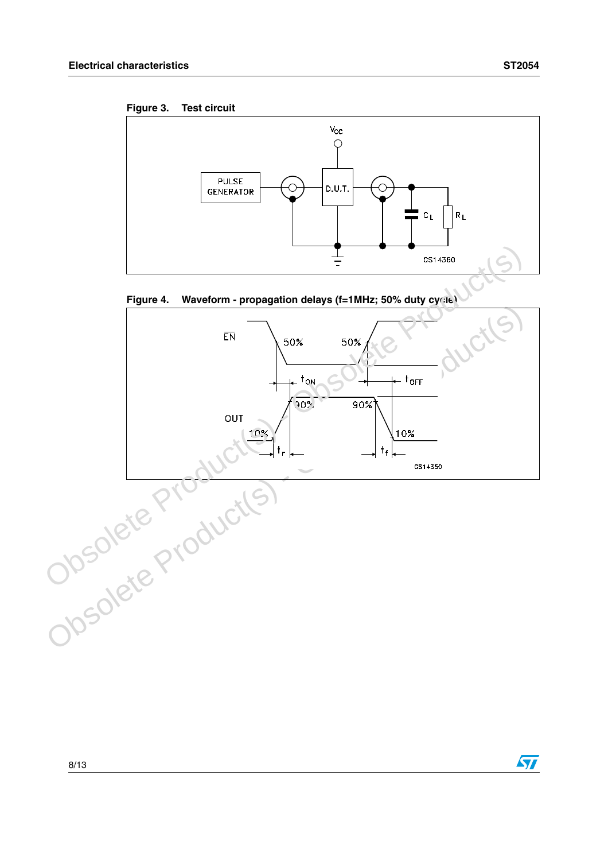





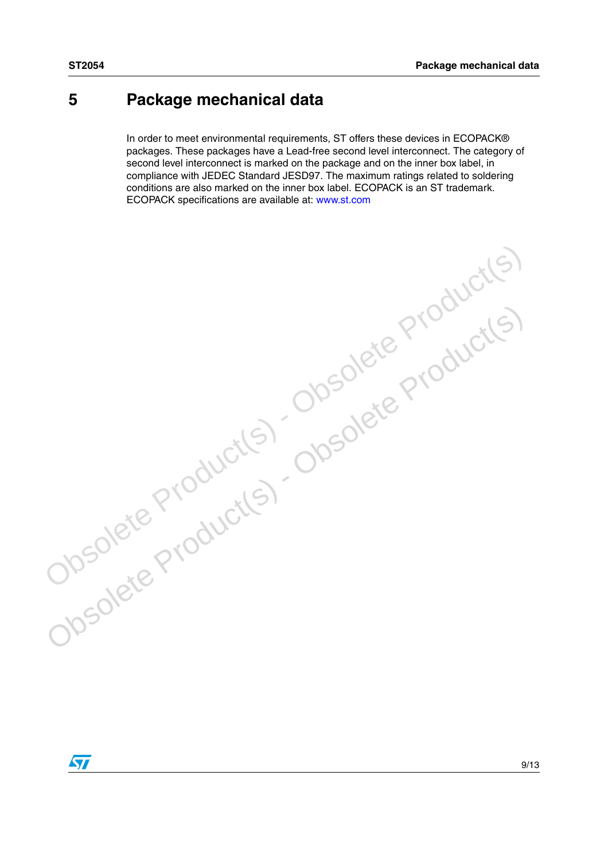#### <span id="page-8-0"></span>**5 Package mechanical data**

In order to meet environmental requirements, ST offers these devices in ECOPACK® packages. These packages have a Lead-free second level interconnect. The category of second level interconnect is marked on the package and on the inner box label, in compliance with JEDEC Standard JESD97. The maximum ratings related to soldering conditions are also marked on the inner box label. ECOPACK is an ST trademark. ECOPACK specifications are available at: www.st.com

Obsolete Product(s) - Obsolete Product(s)<br>Obsolete Product(s) - Obsolete Product(s)<br>Obsolete Product(s) -

Obsolete Product(s) - Obsolete Product(s)

 $\sqrt{2}$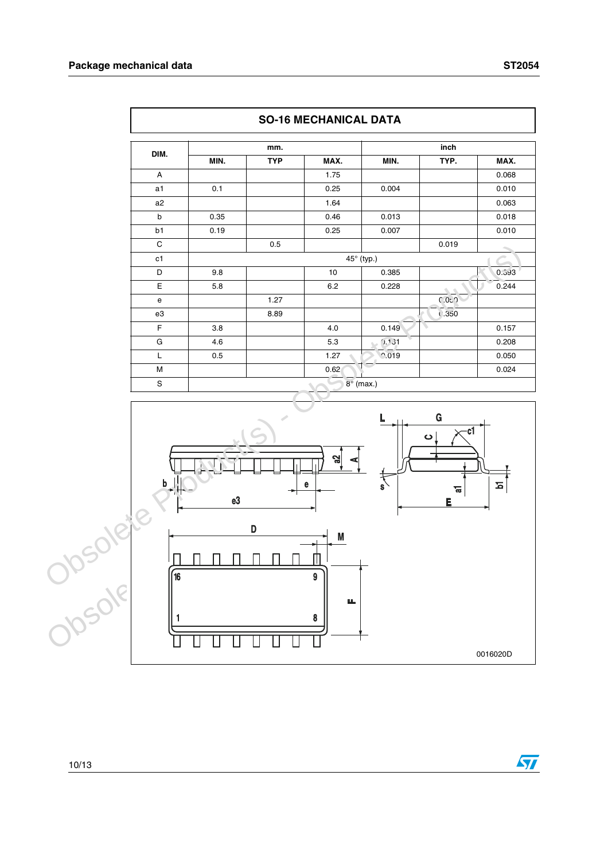$\mathsf I$ 

| DIM.<br>MIN. |      | mm.        |      | inch             |        |       |
|--------------|------|------------|------|------------------|--------|-------|
|              |      | <b>TYP</b> | MAX. | MIN.             | TYP.   | MAX.  |
| A            |      |            | 1.75 |                  |        | 0.068 |
| a1           | 0.1  |            | 0.25 | 0.004            |        | 0.010 |
| a2           |      |            | 1.64 |                  |        | 0.063 |
| b            | 0.35 |            | 0.46 | 0.013            |        | 0.018 |
| b1           | 0.19 |            | 0.25 | 0.007            |        | 0.010 |
| $\mathbf C$  |      | 0.5        |      |                  | 0.019  |       |
| c1           |      |            |      | 45° (typ.)       |        |       |
| D            | 9.8  |            | 10   | 0.385            |        | 0.593 |
| Ε            | 5.8  |            | 6.2  | 0.228            |        | 0.244 |
| e            |      | 1.27       |      |                  | 0.057  |       |
| e3           |      | 8.89       |      |                  | (.350) |       |
| F            | 3.8  |            | 4.0  | 0.149            |        | 0.157 |
| G            | 4.6  |            | 5.3  | (1.131)          |        | 0.208 |
| Г            | 0.5  |            | 1.27 | $^{\circ}$ .019  |        | 0.050 |
| M            |      |            | 0.62 |                  |        | 0.024 |
| S            |      |            |      | $8^\circ$ (max.) |        |       |





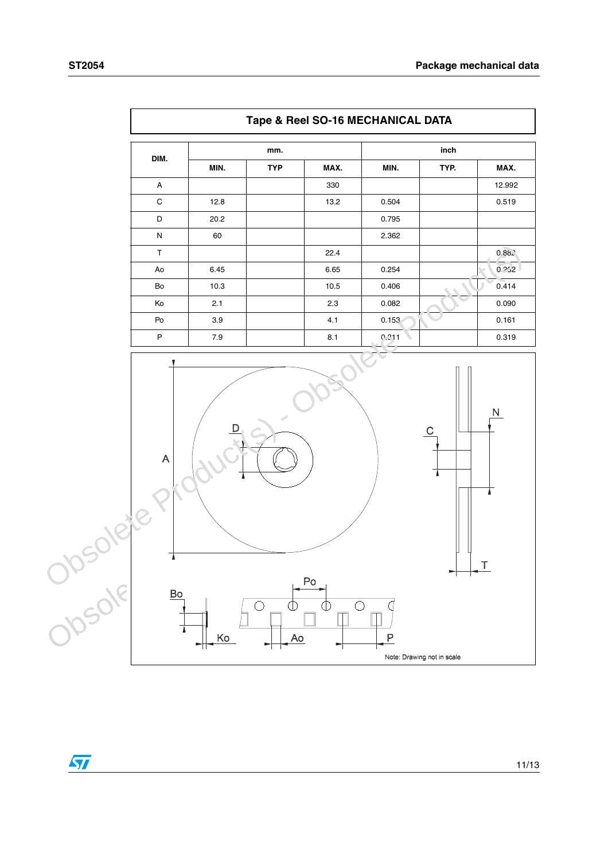$\overline{\mathbf{H}}$ 

|            |                                          |                                |                                          |         | Tape & Reel SO-16 MECHANICAL DATA |              |                    |
|------------|------------------------------------------|--------------------------------|------------------------------------------|---------|-----------------------------------|--------------|--------------------|
|            |                                          |                                | mm.                                      |         |                                   | inch         |                    |
|            | DIM.<br>$\mathsf A$                      | MIN.                           | <b>TYP</b>                               | MAX.    | MIN.                              | TYP.         | MAX.               |
|            |                                          |                                |                                          | 330     |                                   |              | 12.992             |
|            | $\mathsf C$                              | 12.8                           |                                          | 13.2    | 0.504                             |              | 0.519              |
|            | D                                        | 20.2                           |                                          |         | 0.795                             |              |                    |
|            | ${\sf N}$                                | 60                             |                                          |         | 2.362                             |              |                    |
|            | $\mathsf T$                              |                                |                                          | 22.4    |                                   |              | 0.882              |
|            | Ao                                       | 6.45                           |                                          | 6.65    | 0.254                             |              | 0.252              |
|            | Bo                                       | 10.3                           |                                          | 10.5    | 0.406                             |              | 0.414              |
|            | Ko                                       | 2.1                            |                                          | $2.3\,$ | 0.082                             |              | 0.090              |
|            | $\mathsf{Po}$                            | 3.9                            |                                          | 4.1     | 0.153                             |              | 0.161              |
|            | ${\sf P}$                                | $7.9\,$                        |                                          | 8.1     | 0.211                             |              | 0.319              |
| <b>N</b> C | $\boldsymbol{\mathsf{A}}$                |                                |                                          |         |                                   | $\mathbb{C}$ | N,<br>$\mathsf{T}$ |
| Josaic     | $\underline{\mathsf{Bo}}$<br>$\mathbf 1$ | $\underline{\mathsf{Ko}}$<br>► | $\bigcirc$<br>$\oplus$<br>A <sub>O</sub> | Po<br>Þ | $\bigcirc$<br>$\mathsf P$         |              |                    |

Note: Drawing not in scale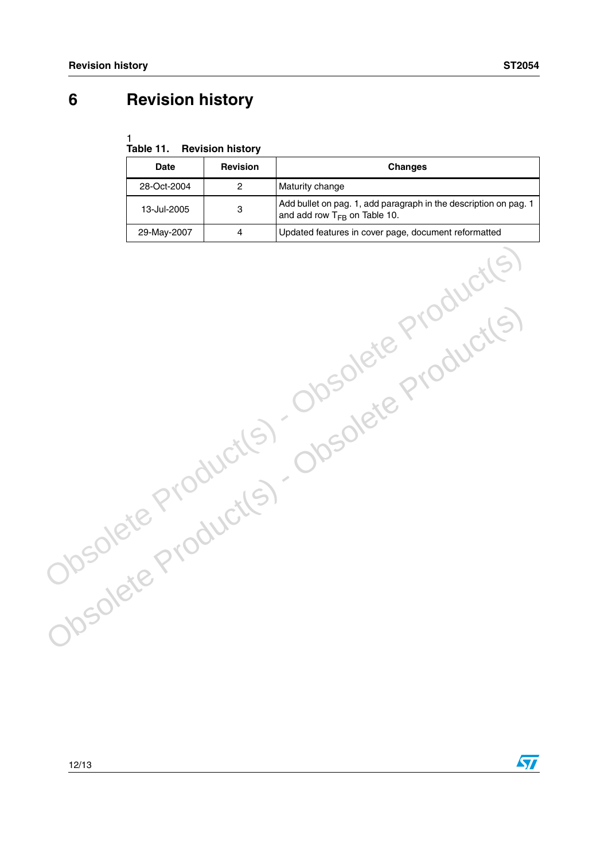$\sqrt{2}$ 

### <span id="page-11-0"></span>**6 Revision history**

| Table 11. Revision history |  |
|----------------------------|--|

| <b>Date</b> | <b>Revision</b> | <b>Changes</b>                                                                                        |
|-------------|-----------------|-------------------------------------------------------------------------------------------------------|
| 28-Oct-2004 | 2               | Maturity change                                                                                       |
| 13-Jul-2005 | 3               | Add bullet on pag. 1, add paragraph in the description on pag. 1<br>and add row $T_{FB}$ on Table 10. |
| 29-May-2007 | 4               | Updated features in cover page, document reformatted                                                  |

Obsolete Product(s) - Obsolete Product(s)<br>Obsolete Product(s) - Obsolete Product(s)<br>Obsolete Product(s) -

Obsolete Product(s) - Obsolete Product(s)